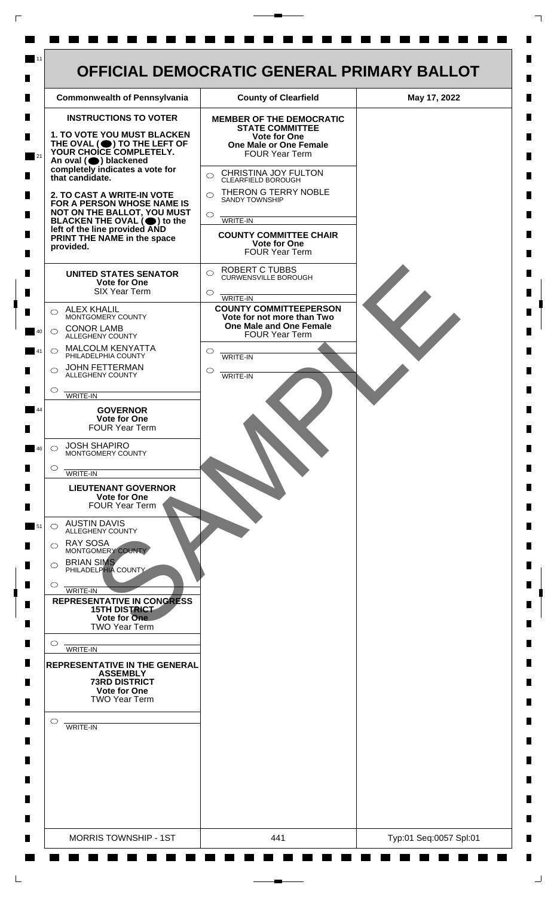

 $\mathsf{L}$ 

 $\Box$